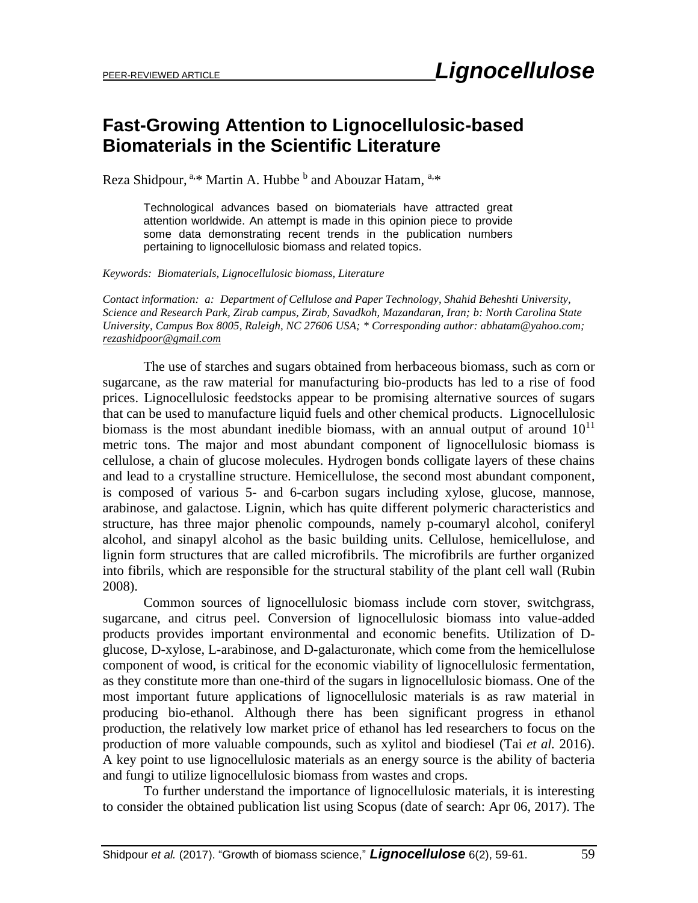## **Fast-Growing Attention to Lignocellulosic-based Biomaterials in the Scientific Literature**

Reza Shidpour, <sup>a,\*</sup> Martin A. Hubbe  $^b$  and Abouzar Hatam, <sup>a,\*</sup>

Technological advances based on biomaterials have attracted great attention worldwide. An attempt is made in this opinion piece to provide some data demonstrating recent trends in the publication numbers pertaining to lignocellulosic biomass and related topics.

*Keywords: Biomaterials, Lignocellulosic biomass, Literature*

*Contact information: a: Department of Cellulose and Paper Technology, Shahid Beheshti University, Science and Research Park, Zirab campus, Zirab, Savadkoh, Mazandaran, Iran; b: North Carolina State University, Campus Box 8005, Raleigh, NC 27606 USA; \* Corresponding author: abhatam@yahoo.com; [rezashidpoor@gmail.com](mailto:rezashidpoor@gmail.com)*

The use of starches and sugars obtained from herbaceous biomass, such as corn or sugarcane, as the raw material for manufacturing bio-products has led to a rise of food prices. Lignocellulosic feedstocks appear to be promising alternative sources of sugars that can be used to manufacture liquid fuels and other chemical products. Lignocellulosic biomass is the most abundant inedible biomass, with an annual output of around  $10^{11}$ metric tons. The major and most abundant component of lignocellulosic biomass is cellulose, a chain of glucose molecules. Hydrogen bonds colligate layers of these chains and lead to a crystalline structure. Hemicellulose, the second most abundant component, is composed of various 5- and 6-carbon sugars including xylose, glucose, mannose, arabinose, and galactose. Lignin, which has quite different polymeric characteristics and structure, has three major phenolic compounds, namely p-coumaryl alcohol, coniferyl alcohol, and sinapyl alcohol as the basic building units. Cellulose, hemicellulose, and lignin form structures that are called microfibrils. The microfibrils are further organized into fibrils, which are responsible for the structural stability of the plant cell wall (Rubin 2008).

Common sources of lignocellulosic biomass include corn stover, switchgrass, sugarcane, and citrus peel. Conversion of lignocellulosic biomass into value-added products provides important environmental and economic benefits. Utilization of Dglucose, D-xylose, L-arabinose, and D-galacturonate, which come from the hemicellulose component of wood, is critical for the economic viability of lignocellulosic fermentation, as they constitute more than one-third of the sugars in lignocellulosic biomass. One of the most important future applications of lignocellulosic materials is as raw material in producing bio-ethanol. Although there has been significant progress in ethanol production, the relatively low market price of ethanol has led researchers to focus on the production of more valuable compounds, such as xylitol and biodiesel (Tai *et al.* 2016). A key point to use lignocellulosic materials as an energy source is the ability of bacteria and fungi to utilize lignocellulosic biomass from wastes and crops.

To further understand the importance of lignocellulosic materials, it is interesting to consider the obtained publication list using Scopus (date of search: Apr 06, 2017). The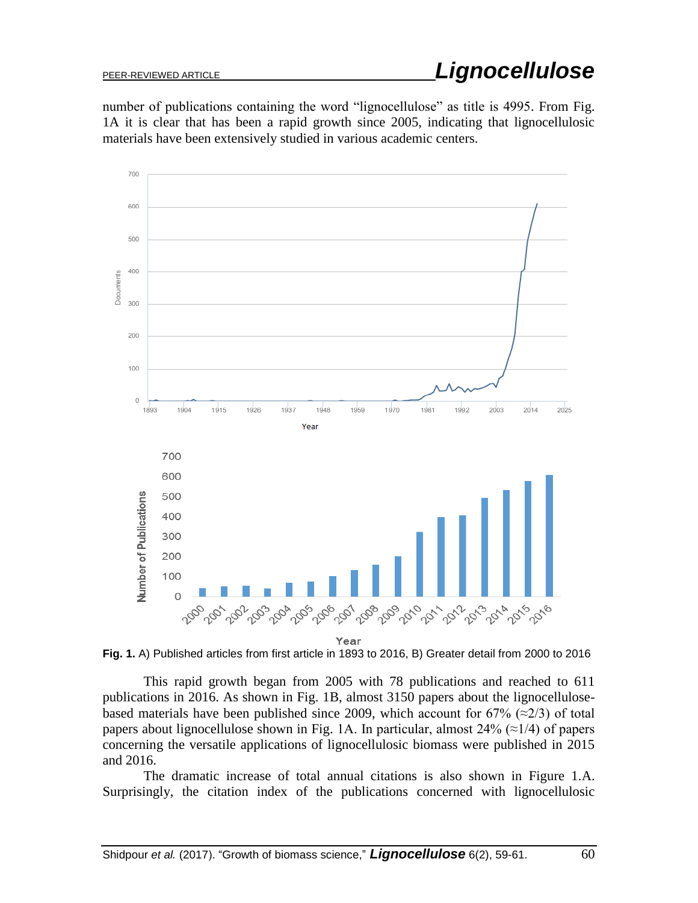number of publications containing the word "lignocellulose" as title is 4995. From Fig. 1A it is clear that has been a rapid growth since 2005, indicating that lignocellulosic materials have been extensively studied in various academic centers.



**Fig. 1.** A) Published articles from first article in 1893 to 2016, B) Greater detail from 2000 to 2016

This rapid growth began from 2005 with 78 publications and reached to 611 publications in 2016. As shown in Fig. 1B, almost 3150 papers about the lignocellulosebased materials have been published since 2009, which account for 67% ( $\approx$ 2/3) of total papers about lignocellulose shown in Fig. 1A. In particular, almost  $24\%$  ( $\approx$ 1/4) of papers concerning the versatile applications of lignocellulosic biomass were published in 2015 and 2016.

The dramatic increase of total annual citations is also shown in Figure 1.A. Surprisingly, the citation index of the publications concerned with lignocellulosic